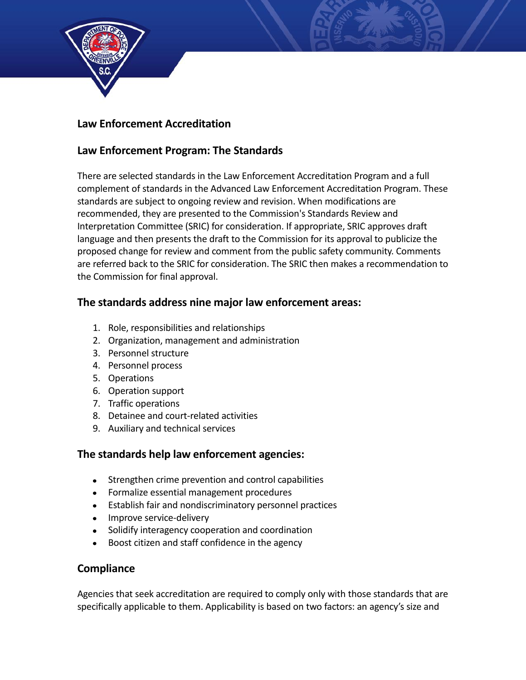

# **Law Enforcement Accreditation**

# **Law Enforcement Program: The Standards**

There are selected standards in the Law Enforcement Accreditation Program and a full complement of standards in the Advanced Law Enforcement Accreditation Program. These standards are subject to ongoing review and revision. When modifications are recommended, they are presented to the Commission's Standards Review and Interpretation Committee (SRIC) for consideration. If appropriate, SRIC approves draft language and then presents the draft to the Commission for its approval to publicize the proposed change for review and comment from the public safety community. Comments are referred back to the SRIC for consideration. The SRIC then makes a recommendation to the Commission for final approval.

## **The standards address nine major law enforcement areas:**

- 1. Role, responsibilities and relationships
- 2. Organization, management and administration
- 3. Personnel structure
- 4. Personnel process
- 5. Operations
- 6. Operation support
- 7. Traffic operations
- 8. Detainee and court-related activities
- 9. Auxiliary and technical services

### **The standards help law enforcement agencies:**

- Strengthen crime prevention and control capabilities
- Formalize essential management procedures
- Establish fair and nondiscriminatory personnel practices
- Improve service-delivery
- Solidify interagency cooperation and coordination
- Boost citizen and staff confidence in the agency

### **Compliance**

Agencies that seek accreditation are required to comply only with those standards that are specifically applicable to them. Applicability is based on two factors: an agency's size and